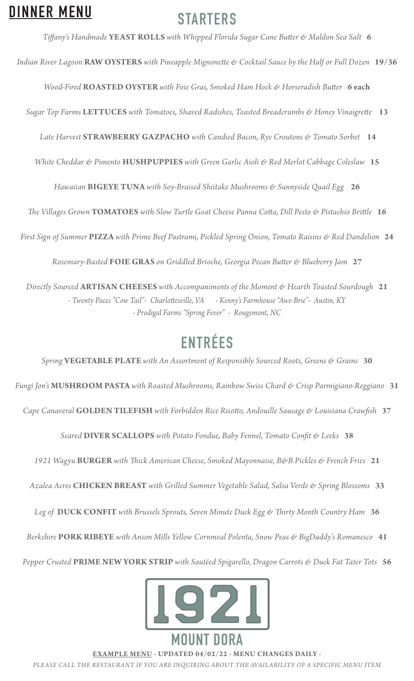# **DINNER MENU**

# **STARTERS**

*Tiffany's Handmade* **YEAST ROLLS** *with Whipped Florida Sugar Cane Butter & Maldon Sea Salt* **6**

*Indian River Lagoon* **RAW OYSTERS** *with Pineapple Mignonette & Cocktail Sauce by the Half or Full Dozen* **19/36**

*Wood-Fired* **ROASTED OYSTER** *with Foie Gras, Smoked Ham Hock & Horseradish Butter* **6 each**

*Sugar Top Farms* **LETTUCES** *with Tomatoes, Shaved Radishes, Toasted Breadcrumbs & Honey Vinaigrette* **13**

 *Late Harvest* **STRAWBERRY GAZPACHO** *with Candied Bacon, Rye Croutons & Tomato Sorbet* **14**

*White Cheddar & Pimento* **HUSHPUPPIES** *with Green Garlic Aioli & Red Merlot Cabbage Coleslaw* **15**

*Hawaiian* **BIGEYE TUNA** *with Soy-Braised Shiitake Mushrooms & Sunnyside Quail Egg* **26**

*The Villages Grown* **TOMATOES** *with Slow Turtle Goat Cheese Panna Cotta, Dill Pesto & Pistachio Brittle* **16**

*First Sign of Summer* **PIZZA** *with Prime Beef Pastrami, Pickled Spring Onion, Tomato Raisins & Red Dandelion* **24**

*Rosemary-Basted* **FOIE GRAS** *on Griddled Brioche, Georgia Pecan Butter & Blueberry Jam* **27**

*Directly Sourced* **ARTISAN CHEESES** *with Accompaniments of the Moment & Hearth Toasted Sourdough* **21** *- Twenty Paces "Cow Tail"- Charlottesville, VA - Kenny's Farmhouse "Awe-Brie"- Austin, KY - Prodigal Farms "Spring Fever" - Rougemont, NC* 

# **ENTRÉES**

*Spring* **VEGETABLE PLATE** *with An Assortment of Responsibly Sourced Roots, Greens & Grains* **30** *Fungi Jon's* **MUSHROOM PASTA** *with Roasted Mushrooms, Rainbow Swiss Chard & Crisp Parmigiano-Reggiano* **31**  *Cape Canaveral* **GOLDEN TILEFISH** *with Forbidden Rice Risotto, Andouille Sausage & Louisiana Crawfish* **37** *Seared* **DIVER SCALLOPS** *with Potato Fondue, Baby Fennel, Tomato Confit & Leeks* **38** *1921 Wagyu* **BURGER** *with Thick American Cheese, Smoked Mayonnaise, B&B Pickles & French Fries* **21** *Azalea Acres* **CHICKEN BREAST** *with Grilled Summer Vegetable Salad, Salsa Verde & Spring Blossoms* **33**

*Leg of* **DUCK CONFIT** *with Brussels Sprouts, Seven Minute Duck Egg & Thirty Month Country Ham* **36**

*Berkshire* **PORK RIBEYE** *with Anson Mills Yellow Cornmeal Polenta, Snow Peas & BigDaddy's Romanesco* **41**

*Pepper Crusted* **PRIME NEW YORK STRIP** *with Sautéed Spigarello, Dragon Carrots & Duck Fat Tater Tots* **56**



**EXAMPLE MENU - UPDATED 04/02/22 - MENU CHANGES DAILY -**

*PLEASE CALL THE RESTAURANT IF YOU ARE INQUIRING ABOUT THE AVAILABILITY OF A SPECIFIC MENU ITEM*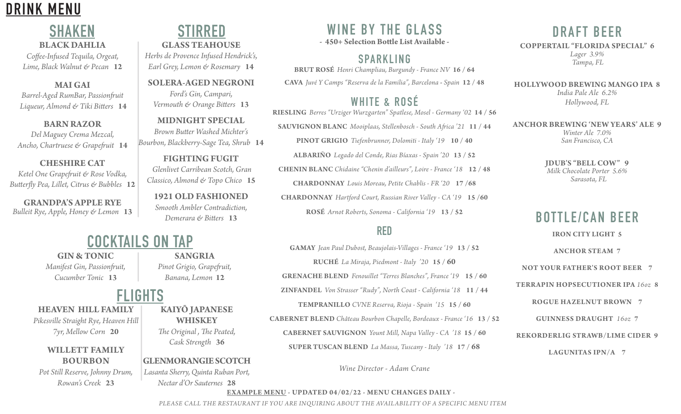

#### **SHAKEN BLACK DAHLIA**

*Coffee-Infused Tequila, Orgeat, Lime, Black Walnut & Pecan* **12**

**MAI GAI** *Barrel-Aged RumBar, Passionfruit Liqueur, Almond & Tiki Bitters* **14**

**BARN RAZOR** *Del Maguey Crema Mezcal, Ancho, Chartruese & Grapefruit* **14**

**CHESHIRE CAT** *Ketel One Grapefruit & Rose Vodka, Butterfly Pea, Lillet, Citrus & Bubbles* **12**

**GRANDPA'S APPLE RYE** *Bulleit Rye, Apple, Honey & Lemon* **13**

## **STIRRED**

**GLASS TEAHOUSE** *Herbs de Provence Infused Hendrick's, Earl Grey, Lemon & Rosemary* **14** 

**SOLERA-AGED NEGRONI** *Ford's Gin, Campari, Vermouth & Orange Bitters* **13**

**MIDNIGHT SPECIAL** *Brown Butter Washed Michter's Bourbon, Blackberry-Sage Tea, Shrub* **14**

**FIGHTING FUGIT**  *Glenlivet Carribean Scotch, Gran Classico, Almond & Topo Chico* **15**

**1921 OLD FASHIONED** *Smooth Ambler Contradiction, Demerara & Bitters* **13**

#### **COCKTAILS ON TAP**

**GIN & TONIC** *Manifest Gin, Passionfruit, Cucumber Tonic* **13**

# **FLIGHTS**

**HEAVEN HILL FAMILY** *Pikesville Straight Rye, Heaven Hill* 

*7yr, Mellow Corn* **20**

#### **WILLETT FAMILY BOURBON**

*Pot Still Reserve, Johnny Drum, Rowan's Creek* **23**

**SANGRIA** *Pinot Grigio, Grapefruit, Banana, Lemon* **12**

# **KAIYŌ JAPANESE**

**WHISKEY**

*The Original , The Peated, Cask Strength* **36**

#### **GLENMORANGIE SCOTCH**

*Lasanta Sherry, Quinta Ruban Port, Nectar d'Or Sauternes* **28**

#### **WINE BY THE GLASS**

**- 450+ Selection Bottle List Available -**

#### **SPARKLING**

**BRUT ROSÉ** *Henri Champliau, Burgundy - France NV* **16 / 64 CAVA** *Juvé Y Camps "Reserva de la Familia", Barcelona* **-** *Spain* **12 / 48**

#### **WHITE & ROSÉ**

**RIESLING** *Berres "Urziger Wurzgarten" Spatlese, Mosel - Germany '02* **14 / 56 SAUVIGNON BLANC** *Mooiplaas, Stellenbosch - South Africa '21* **11 / 44 PINOT GRIGIO** *Tiefenbrunner, Dolomiti - Italy '19* **10 / 40**

**ALBARIÑO** *Legado del Conde, Rias Bíaxas - Spain '20* **13 / 52 CHENIN BLANC** *Chidaine "Chenin d'ailleurs", Loire - France '18* **12 / 48 CHARDONNAY** *Louis Moreau, Petite Chablis - FR '20* **17 /68 CHARDONNAY** *Hartford Court, Russian River Valley - CA '19* **15 /60**

**ROSÉ** *Arnot Roberts, Sonoma - California '19* **13 / 52**

#### **RED**

**GAMAY** *Jean Paul Dubost, Beaujolais-Villages - France '19* **13 / 52 RUCHÉ** *La Miraja, Piedmont - Italy '20* **15 / 60 GRENACHE BLEND** *Fenouillet "Terres Blanches", France '19* **15 / 60 ZINFANDEL** *Von Strasser "Rudy", North Coast - California '18* **11 / 44 TEMPRANILLO** *CVNE Reserva, Rioja - Spain '15* **15 / 60 CABERNET BLEND** *Château Bourbon Chapelle, Bordeaux - France '16* **13 / 52 CABERNET SAUVIGNON** *Yount Mill, Napa Valley - CA '18* **15 / 60 SUPER TUSCAN BLEND** *La Massa, Tuscany - Italy '18* **17 / 68**

*Wine Director - Adam Crane*

#### **DRAFT BEER**

**COPPERTAIL "FLORIDA SPECIAL" 6** *Lager 3.9% Tampa, FL*

**HOLLYWOOD BREWING MANGO IPA 8** *India Pale Ale 6.2% Hollywood, FL*

**ANCHOR BREWING 'NEW YEARS' ALE 9** *Winter Ale 7.0% San Francisco, CA*

> **JDUB'S "BELL COW" 9** *Milk Chocolate Porter 5.6% Sarasota, FL*

#### **BOTTLE/CAN BEER**

**IRON CITY LIGHT 5**

**ANCHOR STEAM 7**

**NOT YOUR FATHER'S ROOT BEER 7**

**TERRAPIN HOPSECUTIONER IPA** *16oz* **8**

**ROGUE HAZELNUT BROWN 7**

**GUINNESS DRAUGHT** *16oz* **7**

**REKORDERLIG STRAWB/LIME CIDER 9**

**LAGUNITAS IPN/A 7**

**EXAMPLE MENU - UPDATED 04/02/22 - MENU CHANGES DAILY -**  *PLEASE CALL THE RESTAURANT IF YOU ARE INQUIRING ABOUT THE AVAILABILITY OF A SPECIFIC MENU ITEM*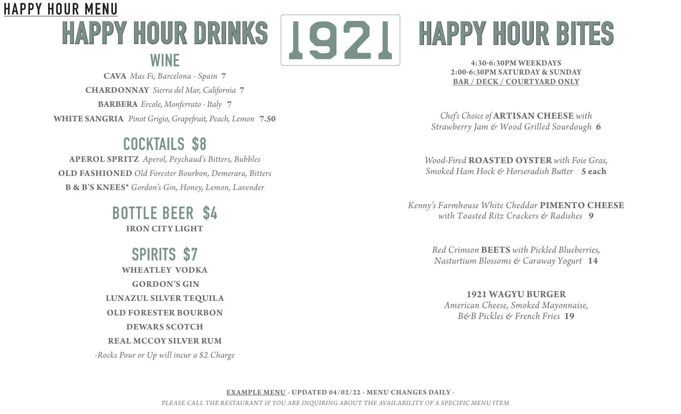# **HAPPY HOUR DRINKS WINE HAPPY HOUR MENU**



**CAVA** *Mas Fi, Barcelona - Spain* **7 CHARDONNAY** *Sierra del Mar, California* **7 BARBERA** *Ercole, Monferrato - Italy* **7 WHITE SANGRIA** *Pinot Grigio, Grapefruit, Peach, Lemon* **7.50**

# **COCKTAILS \$8**

**APEROL SPRITZ** *Aperol, Peychaud's Bitters, Bubbles* **OLD FASHIONED** *Old Forester Bourbon, Demerara, Bitters* **B & B'S KNEES\*** *Gordon's Gin, Honey, Lemon, Lavender*

> **BOTTLE BEER \$4 IRON CITY LIGHT**

**SPIRITS \$7 WHEATLEY VODKA GORDON'S GIN LUNAZUL SILVER TEQUILA OLD FORESTER BOURBON DEWARS SCOTCH REAL MCCOY SILVER RUM** *-Rocks Pour or Up will incur a \$2 Charge*

# **HAPPY HOUR BITES**

**4:30-6:30PM WEEKDAYS 2:00-6:30PM SATURDAY & SUNDAY BAR / DECK / COURTYARD ONLY**

*Chef's Choice of* **ARTISAN CHEESE** *with Strawberry Jam & Wood Grilled Sourdough* **6**

*Wood-Fired* **ROASTED OYSTER** *with Foie Gras, Smoked Ham Hock & Horseradish Butter* **5 each**

*Kenny's Farmhouse White Cheddar* **PIMENTO CHEESE** *with Toasted Ritz Crackers & Radishes* **9**

> *Red Crimson* **BEETS** *with Pickled Blueberries, Nasturtium Blossoms & Caraway Yogurt* **14**

**1921 WAGYU BURGER**  *American Cheese, Smoked Mayonnaise, B&B Pickles & French Fries* **19**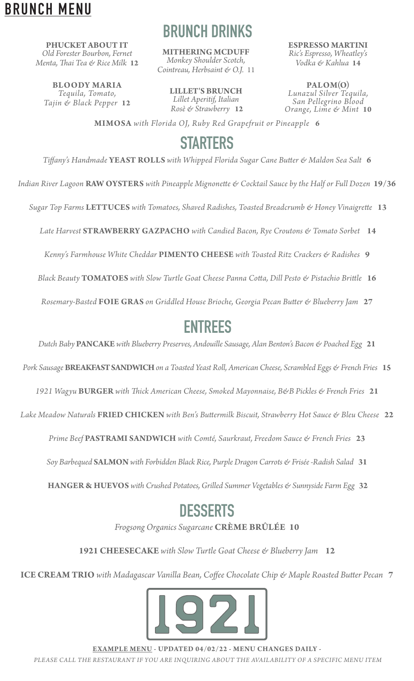## **BRUNCH MENU**

**PHUCKET ABOUT IT** *Old Forester Bourbon, Fernet Menta, Thai Tea & Rice Milk* **12**

**BLOODY MARIA**  *Tequila, Tomato, Tajin & Black Pepper* **12**

# **BRUNCH DRINKS**

**MITHERING MCDUFF** *Monkey Shoulder Scotch, Cointreau, Herbsaint & O.J.* 11

**LILLET'S BRUNCH** *Lillet Aperitif, Italian Rosè & Strawberry* **12** **ESPRESSO MARTINI** *Ric's Espresso, Wheatley's Vodka & Kahlua* **14**

**PALOM(O)**  *Lunazul Silver Tequila, San Pellegrino Blood Orange, Lime & Mint* **10**

**MIMOSA** *with Florida OJ, Ruby Red Grapefruit or Pineapple* **6**

# **STARTERS**

*Tiffany's Handmade* **YEAST ROLLS** *with Whipped Florida Sugar Cane Butter & Maldon Sea Salt* **6**

*Indian River Lagoon* **RAW OYSTERS** *with Pineapple Mignonette & Cocktail Sauce by the Half or Full Dozen* **19/36**

 *Sugar Top Farms* **LETTUCES** *with Tomatoes, Shaved Radishes, Toasted Breadcrumb & Honey Vinaigrette* **13**

 *Late Harvest* **STRAWBERRY GAZPACHO** *with Candied Bacon, Rye Croutons & Tomato Sorbet* **14**

*Kenny's Farmhouse White Cheddar* **PIMENTO CHEESE** *with Toasted Ritz Crackers & Radishes* **9**

*Black Beauty* **TOMATOES** *with Slow Turtle Goat Cheese Panna Cotta, Dill Pesto & Pistachio Brittle* **16**

*Rosemary-Basted* **FOIE GRAS** *on Griddled House Brioche, Georgia Pecan Butter & Blueberry Jam* **27**

## **ENTREES**

*Dutch Baby* **PANCAKE** *with Blueberry Preserves, Andouille Sausage, Alan Benton's Bacon & Poached Egg* **21**

*Pork Sausage* **BREAKFAST SANDWICH** *on a Toasted Yeast Roll, American Cheese, Scrambled Eggs & French Fries* **15**

*1921 Wagyu* **BURGER** *with Thick American Cheese, Smoked Mayonnaise, B&B Pickles & French Fries* **21**

*Lake Meadow Naturals* **FRIED CHICKEN** *with Ben's Buttermilk Biscuit, Strawberry Hot Sauce & Bleu Cheese* **22**

*Prime Beef* **PASTRAMI SANDWICH** *with Comté, Saurkraut, Freedom Sauce & French Fries* **23**

*Soy Barbequed* **SALMON** *with Forbidden Black Rice, Purple Dragon Carrots & Frisée -Radish Salad* **31**

 **HANGER & HUEVOS** *with Crushed Potatoes, Grilled Summer Vegetables & Sunnyside Farm Egg* **32**

#### **DESSERTS**

*Frogsong Organics Sugarcane* **CRÈME BRÛLÉE 10**

**1921 CHEESECAKE** *with Slow Turtle Goat Cheese & Blueberry Jam* **12**

**ICE CREAM TRIO** *with Madagascar Vanilla Bean, Coffee Chocolate Chip & Maple Roasted Butter Pecan* **7**



**EXAMPLE MENU - UPDATED 04/02/22 - MENU CHANGES DAILY -**  *PLEASE CALL THE RESTAURANT IF YOU ARE INQUIRING ABOUT THE AVAILABILITY OF A SPECIFIC MENU ITEM*